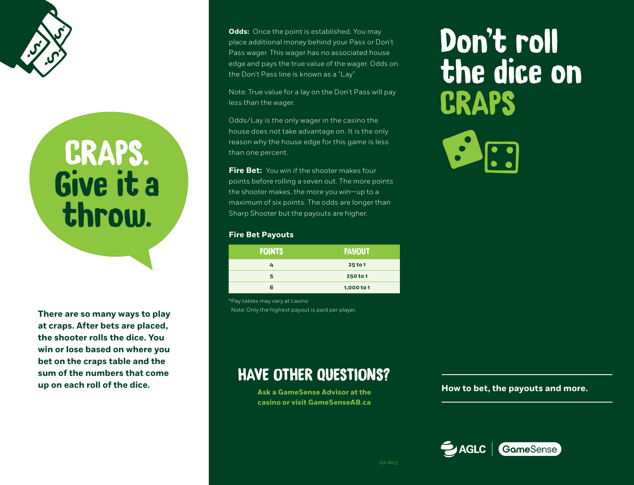

## CRAPS. Give it a throw.

**There are so many ways to play at craps. After bets are placed, the shooter rolls the dice. You win or lose based on where you bet on the craps table and the sum of the numbers that come up on each roll of the dice.**

**Odds:** Once the point is established. You may place additional money behind your Pass or Don't Pass wager. This wager has no associated house edge and pays the true value of the wager. Odds on the Don't Pass line is known as a "Lay"

Note: True value for a lay on the Don't Pass will pay less than the wager.

Odds/Lay is the only wager in the casino the house does not take advantage on. It is the only reason why the house edge for this game is less than one percent.

**Fire Bet:** You win if the shooter makes four points before rolling a seven out. The more points the shooter makes, the more you win—up to a maximum of six points. The odds are longer than Sharp Shooter but the payouts are higher.

## **Fire Bet Payouts**

| <b>POINTS</b> | <b>PAYOUT</b> |
|---------------|---------------|
| 4             | 25 to 1       |
| 5             | 250 to 1      |
| 6             | 1,000 to 1    |

HAVE OTHER QUESTIONS?

**Ask a GameSense Advisor at the casino or visit GameSenseAB.ca**

\*Pay tables may vary at casino Note: Only the highest payout is paid per player.

## Don't roll the dice on **CRAPS**



**How to bet, the payouts and more.**